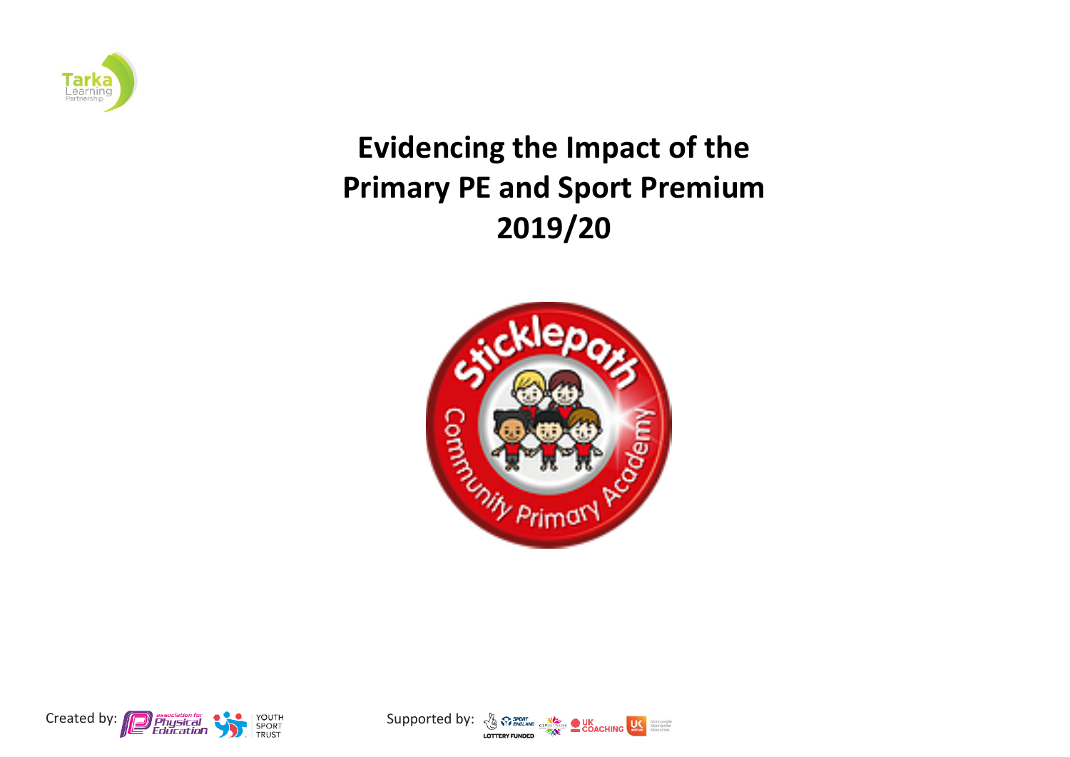

## **Evidencing the Impact of the Primary PE and Sport Premium 2019/20**





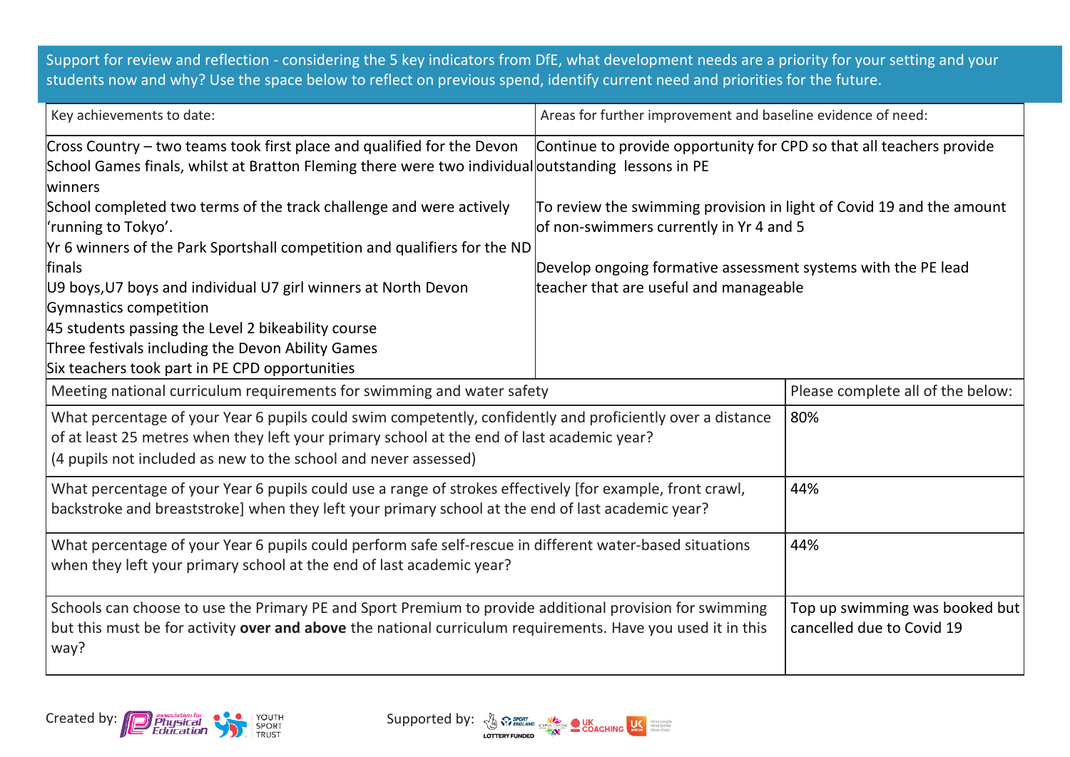Support for review and reflection - considering the 5 key indicators from DfE, what development needs are a priority for your setting and your students now and why? Use the space below to reflect on previous spend, identify current need and priorities for the future.

| Key achievements to date:                                                                                                                                                                                                                                                   | Areas for further improvement and baseline evidence of need:                                                                                                                                                               |                                                             |  |
|-----------------------------------------------------------------------------------------------------------------------------------------------------------------------------------------------------------------------------------------------------------------------------|----------------------------------------------------------------------------------------------------------------------------------------------------------------------------------------------------------------------------|-------------------------------------------------------------|--|
| Cross Country – two teams took first place and qualified for the Devon<br>School Games finals, whilst at Bratton Fleming there were two individual outstanding lessons in PE<br>lwinners                                                                                    | Continue to provide opportunity for CPD so that all teachers provide                                                                                                                                                       |                                                             |  |
| School completed two terms of the track challenge and were actively<br>'running to Tokyo'.<br>Yr 6 winners of the Park Sportshall competition and qualifiers for the ND<br>finals<br>U9 boys, U7 boys and individual U7 girl winners at North Devon                         | To review the swimming provision in light of Covid 19 and the amount<br>of non-swimmers currently in Yr 4 and 5<br>Develop ongoing formative assessment systems with the PE lead<br>teacher that are useful and manageable |                                                             |  |
| Gymnastics competition<br>45 students passing the Level 2 bikeability course<br>Three festivals including the Devon Ability Games<br>Six teachers took part in PE CPD opportunities                                                                                         |                                                                                                                                                                                                                            |                                                             |  |
| Meeting national curriculum requirements for swimming and water safety                                                                                                                                                                                                      |                                                                                                                                                                                                                            | Please complete all of the below:                           |  |
| What percentage of your Year 6 pupils could swim competently, confidently and proficiently over a distance<br>of at least 25 metres when they left your primary school at the end of last academic year?<br>(4 pupils not included as new to the school and never assessed) |                                                                                                                                                                                                                            | 80%                                                         |  |
| What percentage of your Year 6 pupils could use a range of strokes effectively [for example, front crawl,<br>backstroke and breaststroke] when they left your primary school at the end of last academic year?                                                              | 44%                                                                                                                                                                                                                        |                                                             |  |
| What percentage of your Year 6 pupils could perform safe self-rescue in different water-based situations<br>when they left your primary school at the end of last academic year?                                                                                            |                                                                                                                                                                                                                            | 44%                                                         |  |
| Schools can choose to use the Primary PE and Sport Premium to provide additional provision for swimming<br>but this must be for activity over and above the national curriculum requirements. Have you used it in this<br>way?                                              |                                                                                                                                                                                                                            | Top up swimming was booked but<br>cancelled due to Covid 19 |  |



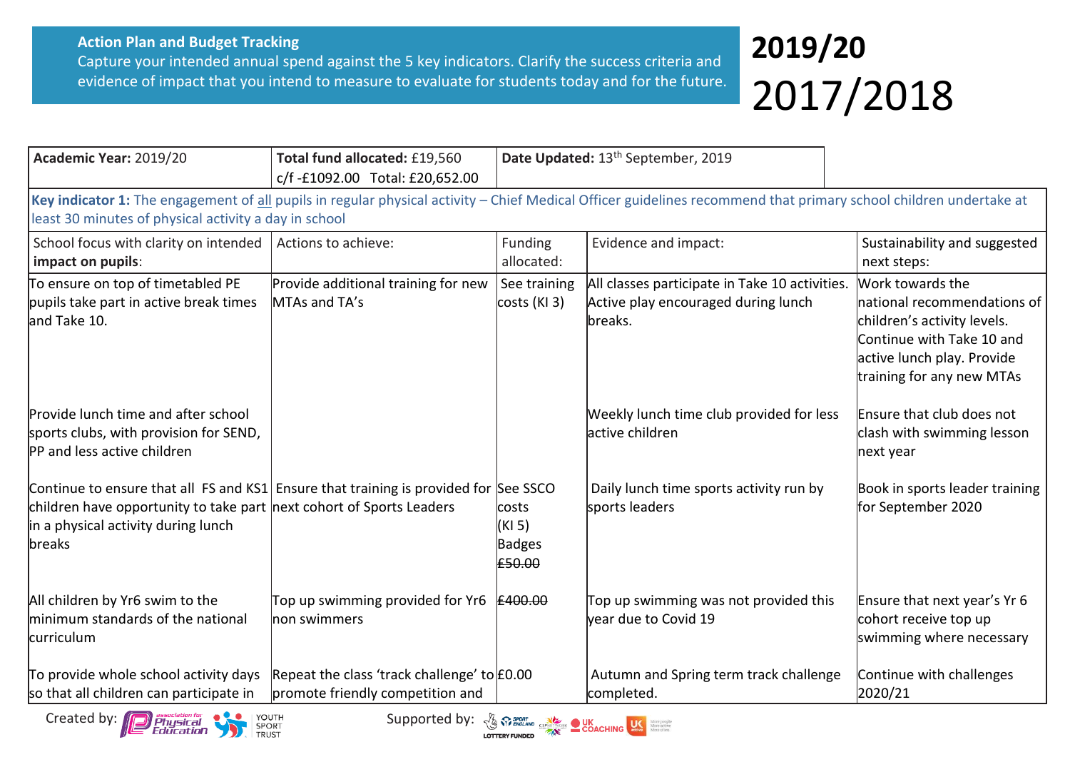## **2019/20** 2017/2018

| Academic Year: 2019/20                                                                                                                                                                                                | Total fund allocated: £19,560<br>c/f-£1092.00 Total: £20,652.00                 | Date Updated: 13 <sup>th</sup> September, 2019    |                                                                                                                                                                   |                                                                                                                                                                        |
|-----------------------------------------------------------------------------------------------------------------------------------------------------------------------------------------------------------------------|---------------------------------------------------------------------------------|---------------------------------------------------|-------------------------------------------------------------------------------------------------------------------------------------------------------------------|------------------------------------------------------------------------------------------------------------------------------------------------------------------------|
| least 30 minutes of physical activity a day in school                                                                                                                                                                 |                                                                                 |                                                   | Key indicator 1: The engagement of all pupils in regular physical activity - Chief Medical Officer guidelines recommend that primary school children undertake at |                                                                                                                                                                        |
| School focus with clarity on intended<br>impact on pupils:                                                                                                                                                            | Actions to achieve:                                                             | Funding<br>allocated:                             | Evidence and impact:                                                                                                                                              | Sustainability and suggested<br>next steps:                                                                                                                            |
| To ensure on top of timetabled PE<br>pupils take part in active break times<br>and Take 10.                                                                                                                           | Provide additional training for new<br>MTAs and TA's                            | See training<br>costs (KI 3)                      | All classes participate in Take 10 activities.<br>Active play encouraged during lunch<br>breaks.                                                                  | Work towards the<br>national recommendations of<br>children's activity levels.<br>Continue with Take 10 and<br>active lunch play. Provide<br>training for any new MTAs |
| Provide lunch time and after school<br>sports clubs, with provision for SEND,<br>PP and less active children                                                                                                          |                                                                                 |                                                   | Weekly lunch time club provided for less<br>lactive children                                                                                                      | Ensure that club does not<br>clash with swimming lesson<br>next year                                                                                                   |
| Continue to ensure that all FS and KS1 Ensure that training is provided for See SSCO<br>children have opportunity to take part next cohort of Sports Leaders<br>in a physical activity during lunch<br><b>lbreaks</b> |                                                                                 | <b>costs</b><br>(KI 5)<br><b>Badges</b><br>£50.00 | Daily lunch time sports activity run by<br>sports leaders                                                                                                         | Book in sports leader training<br>for September 2020                                                                                                                   |
| All children by Yr6 swim to the<br>minimum standards of the national<br>curriculum                                                                                                                                    | Top up swimming provided for Yr6<br>non swimmers                                | £400.00                                           | Top up swimming was not provided this<br>year due to Covid 19                                                                                                     | Ensure that next year's Yr 6<br>cohort receive top up<br>swimming where necessary                                                                                      |
| To provide whole school activity days<br>so that all children can participate in                                                                                                                                      | Repeat the class 'track challenge' to £0.00<br>promote friendly competition and |                                                   | Autumn and Spring term track challenge<br>completed.                                                                                                              | Continue with challenges<br>2020/21                                                                                                                                    |

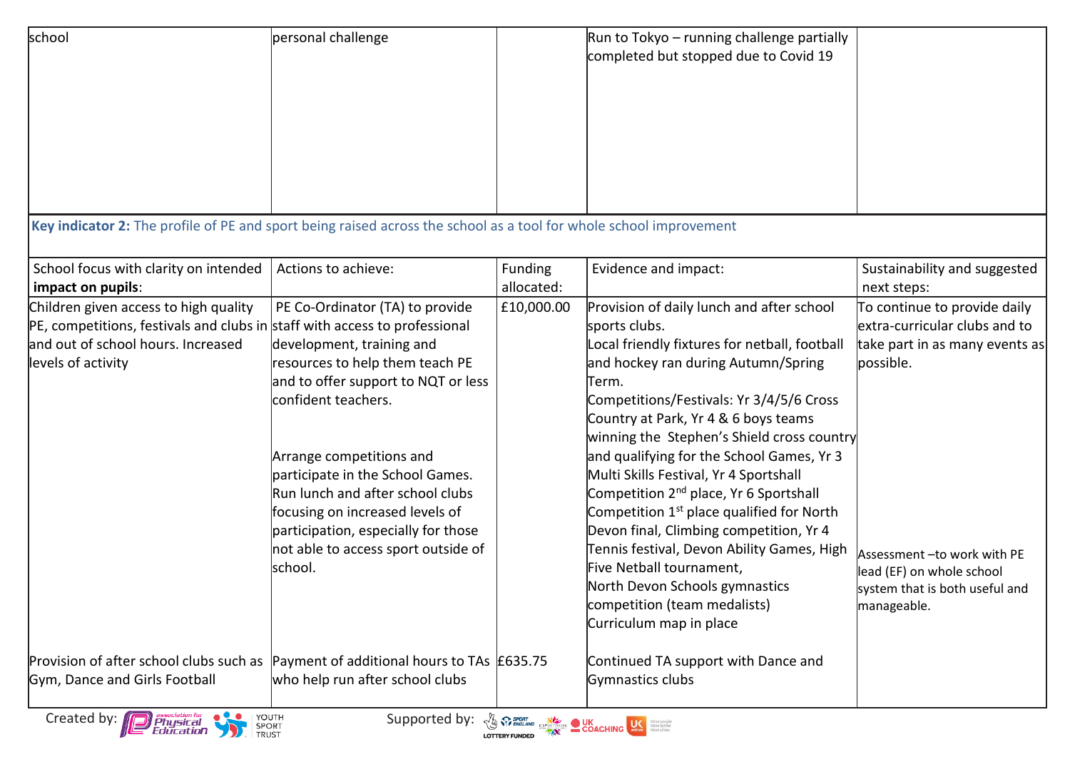| school                                                                                                                                                                          | personal challenge                                                                                                                                                                                                                                                                                                                                                                             |                              | Run to Tokyo - running challenge partially<br>completed but stopped due to Covid 19                                                                                                                                                                                                                                                                                                                                                                                                                                                                                                                                                                                                                                   |                                                                                                                                                                                                                            |
|---------------------------------------------------------------------------------------------------------------------------------------------------------------------------------|------------------------------------------------------------------------------------------------------------------------------------------------------------------------------------------------------------------------------------------------------------------------------------------------------------------------------------------------------------------------------------------------|------------------------------|-----------------------------------------------------------------------------------------------------------------------------------------------------------------------------------------------------------------------------------------------------------------------------------------------------------------------------------------------------------------------------------------------------------------------------------------------------------------------------------------------------------------------------------------------------------------------------------------------------------------------------------------------------------------------------------------------------------------------|----------------------------------------------------------------------------------------------------------------------------------------------------------------------------------------------------------------------------|
| Key indicator 2: The profile of PE and sport being raised across the school as a tool for whole school improvement                                                              |                                                                                                                                                                                                                                                                                                                                                                                                |                              |                                                                                                                                                                                                                                                                                                                                                                                                                                                                                                                                                                                                                                                                                                                       |                                                                                                                                                                                                                            |
|                                                                                                                                                                                 |                                                                                                                                                                                                                                                                                                                                                                                                |                              |                                                                                                                                                                                                                                                                                                                                                                                                                                                                                                                                                                                                                                                                                                                       |                                                                                                                                                                                                                            |
| School focus with clarity on intended<br>impact on pupils:                                                                                                                      | Actions to achieve:                                                                                                                                                                                                                                                                                                                                                                            | <b>Funding</b><br>allocated: | Evidence and impact:                                                                                                                                                                                                                                                                                                                                                                                                                                                                                                                                                                                                                                                                                                  | Sustainability and suggested<br>next steps:                                                                                                                                                                                |
| Children given access to high quality<br>PE, competitions, festivals and clubs in staff with access to professional<br>and out of school hours. Increased<br>levels of activity | PE Co-Ordinator (TA) to provide<br>development, training and<br>resources to help them teach PE<br>and to offer support to NQT or less<br>confident teachers.<br>Arrange competitions and<br>participate in the School Games.<br>Run lunch and after school clubs<br>focusing on increased levels of<br>participation, especially for those<br>not able to access sport outside of<br>lschool. | £10,000.00                   | Provision of daily lunch and after school<br>sports clubs.<br>Local friendly fixtures for netball, football<br>and hockey ran during Autumn/Spring<br>Term.<br>Competitions/Festivals: Yr 3/4/5/6 Cross<br>Country at Park, Yr 4 & 6 boys teams<br>winning the Stephen's Shield cross country<br>and qualifying for the School Games, Yr 3<br>Multi Skills Festival, Yr 4 Sportshall<br>Competition 2 <sup>nd</sup> place, Yr 6 Sportshall<br>Competition 1 <sup>st</sup> place qualified for North<br>Devon final, Climbing competition, Yr 4<br>Tennis festival, Devon Ability Games, High<br>Five Netball tournament,<br>North Devon Schools gymnastics<br>competition (team medalists)<br>Curriculum map in place | To continue to provide daily<br>extra-curricular clubs and to<br>take part in as many events as<br>possible.<br>Assessment - to work with PE<br>lead (EF) on whole school<br>system that is both useful and<br>manageable. |
| Provision of after school clubs such as<br>Gym, Dance and Girls Football                                                                                                        | Payment of additional hours to TAs £635.75<br>who help run after school clubs                                                                                                                                                                                                                                                                                                                  |                              | Continued TA support with Dance and<br>Gymnastics clubs                                                                                                                                                                                                                                                                                                                                                                                                                                                                                                                                                                                                                                                               |                                                                                                                                                                                                                            |
| YOUTH<br>Created by:<br>Physical<br>Educatio <b>n</b><br>SPORT<br>TRUST                                                                                                         | Supported by:                                                                                                                                                                                                                                                                                                                                                                                  |                              | <b>The SPORT CONCRETE DESCRIPTION OF STRATEGIC CONCRETE SERVICE SERVICE CONCRETE DESCRIPTION OF SERVICE SERVICE SERVICE SERVICE SERVICE SERVICE SERVICE SERVICE SERVICE SERVICE SERVICE SERVICE SERVICE SERVICE SERVICE SERVICE </b>                                                                                                                                                                                                                                                                                                                                                                                                                                                                                  |                                                                                                                                                                                                                            |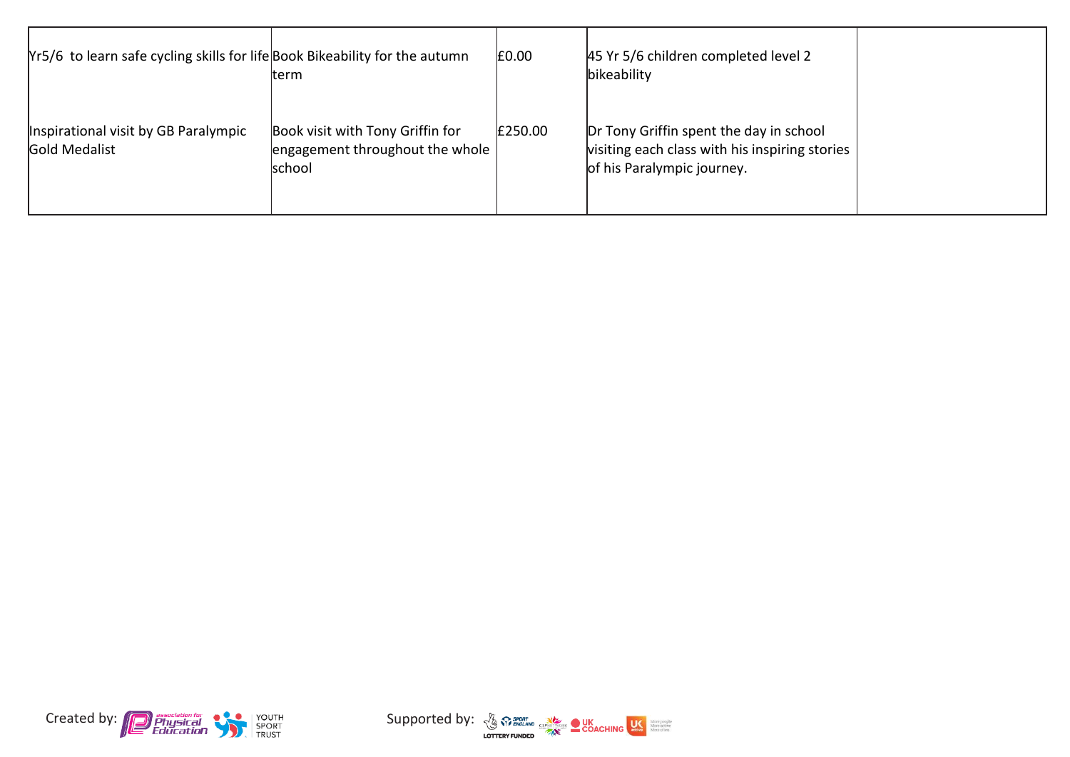| Yr5/6 to learn safe cycling skills for life Book Bikeability for the autumn | lterm                                                                                | £0.00   | 45 Yr 5/6 children completed level 2<br>bikeability                                                                     |  |
|-----------------------------------------------------------------------------|--------------------------------------------------------------------------------------|---------|-------------------------------------------------------------------------------------------------------------------------|--|
| Inspirational visit by GB Paralympic<br>Gold Medalist                       | Book visit with Tony Griffin for<br>engagement throughout the whole<br><b>school</b> | £250.00 | Dr Tony Griffin spent the day in school<br>visiting each class with his inspiring stories<br>of his Paralympic journey. |  |



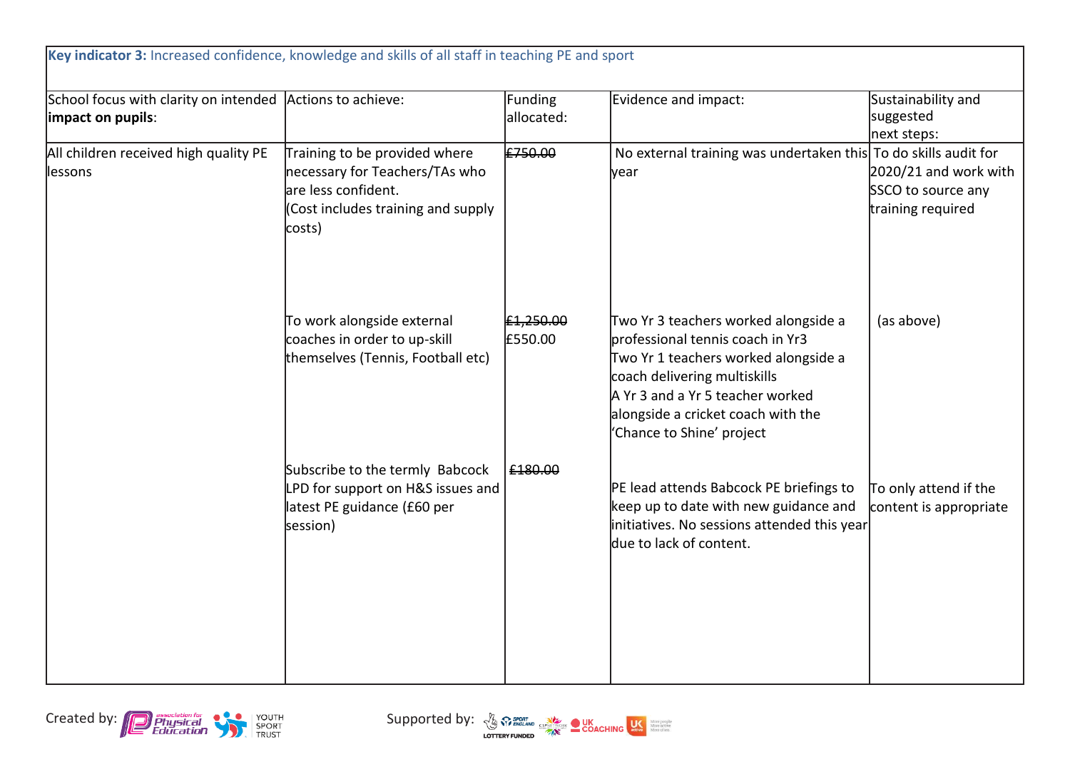| School focus with clarity on intended Actions to achieve:<br>impact on pupils: |                                                                                                                                        | Funding<br>allocated: | Evidence and impact:                                                                                                                                                                                                                                    | Sustainability and<br>suggested<br>next steps:                   |
|--------------------------------------------------------------------------------|----------------------------------------------------------------------------------------------------------------------------------------|-----------------------|---------------------------------------------------------------------------------------------------------------------------------------------------------------------------------------------------------------------------------------------------------|------------------------------------------------------------------|
| All children received high quality PE<br>llessons                              | Training to be provided where<br>necessary for Teachers/TAs who<br>are less confident.<br>(Cost includes training and supply<br>costs) | £750.00               | No external training was undertaken this To do skills audit for<br>vear                                                                                                                                                                                 | 2020/21 and work with<br>SSCO to source any<br>training required |
|                                                                                | To work alongside external<br>coaches in order to up-skill<br>themselves (Tennis, Football etc)                                        | £1,250.00<br>£550.00  | Two Yr 3 teachers worked alongside a<br>professional tennis coach in Yr3<br>Two Yr 1 teachers worked alongside a<br>coach delivering multiskills<br>A Yr 3 and a Yr 5 teacher worked<br>alongside a cricket coach with the<br>'Chance to Shine' project | (as above)                                                       |
|                                                                                | Subscribe to the termly Babcock<br>LPD for support on H&S issues and<br>latest PE guidance (£60 per<br>session)                        | £180.00               | PE lead attends Babcock PE briefings to<br>keep up to date with new guidance and<br>initiatives. No sessions attended this year<br>ldue to lack of content.                                                                                             | To only attend if the<br>content is appropriate                  |



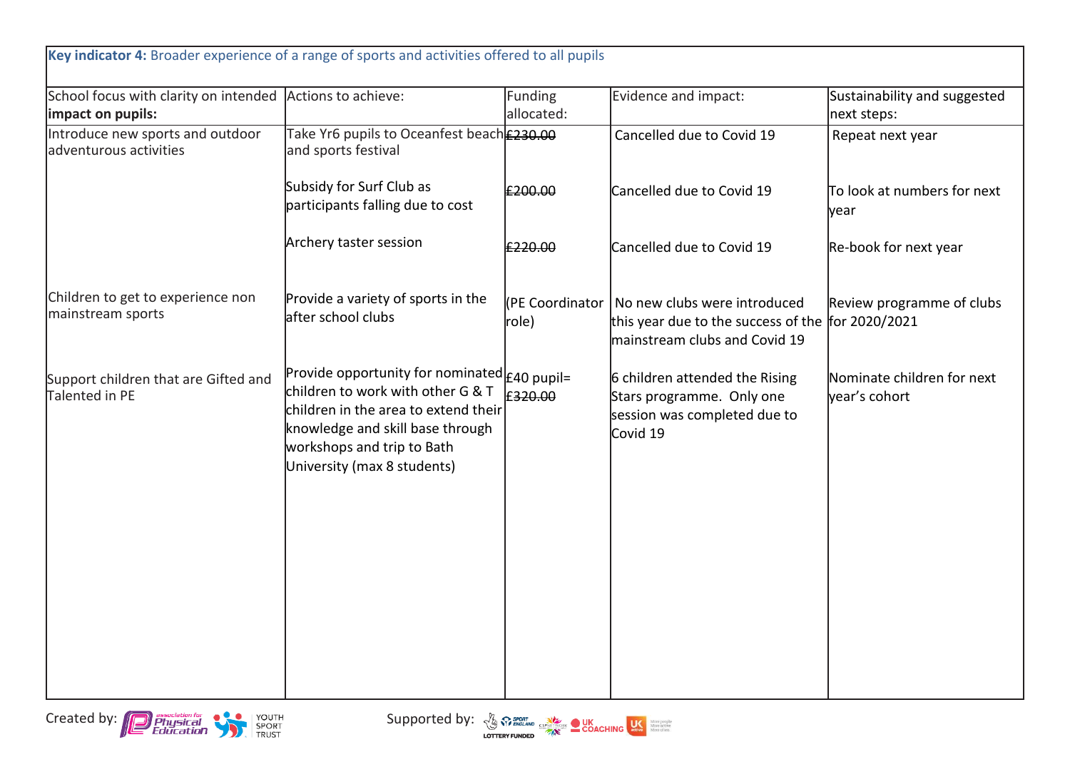| Key indicator 4: Broader experience of a range of sports and activities offered to all pupils |                                                                                                                                                                                                                                   |                          |                                                                                                                    |                                             |
|-----------------------------------------------------------------------------------------------|-----------------------------------------------------------------------------------------------------------------------------------------------------------------------------------------------------------------------------------|--------------------------|--------------------------------------------------------------------------------------------------------------------|---------------------------------------------|
| School focus with clarity on intended Actions to achieve:<br>impact on pupils:                |                                                                                                                                                                                                                                   | Funding<br>allocated:    | Evidence and impact:                                                                                               | Sustainability and suggested<br>next steps: |
| Introduce new sports and outdoor<br>adventurous activities                                    | Take Yr6 pupils to Oceanfest beach <b>E230.00</b><br>and sports festival                                                                                                                                                          |                          | Cancelled due to Covid 19                                                                                          | Repeat next year                            |
|                                                                                               | Subsidy for Surf Club as<br>participants falling due to cost                                                                                                                                                                      | £200.00                  | Cancelled due to Covid 19                                                                                          | To look at numbers for next<br>year         |
|                                                                                               | Archery taster session                                                                                                                                                                                                            | £220.00                  | Cancelled due to Covid 19                                                                                          | Re-book for next year                       |
| Children to get to experience non<br>mainstream sports                                        | Provide a variety of sports in the<br>after school clubs                                                                                                                                                                          | (PE Coordinator<br>role) | No new clubs were introduced<br>this year due to the success of the for 2020/2021<br>mainstream clubs and Covid 19 | Review programme of clubs                   |
| Support children that are Gifted and<br>Talented in PE                                        | Provide opportunity for nominated $f$ $f$ 40 pupil=<br>children to work with other G & T<br>children in the area to extend their<br>knowledge and skill base through<br>workshops and trip to Bath<br>University (max 8 students) | £320.00                  | 6 children attended the Rising<br>Stars programme. Only one<br>session was completed due to<br>Covid 19            | Nominate children for next<br>year's cohort |



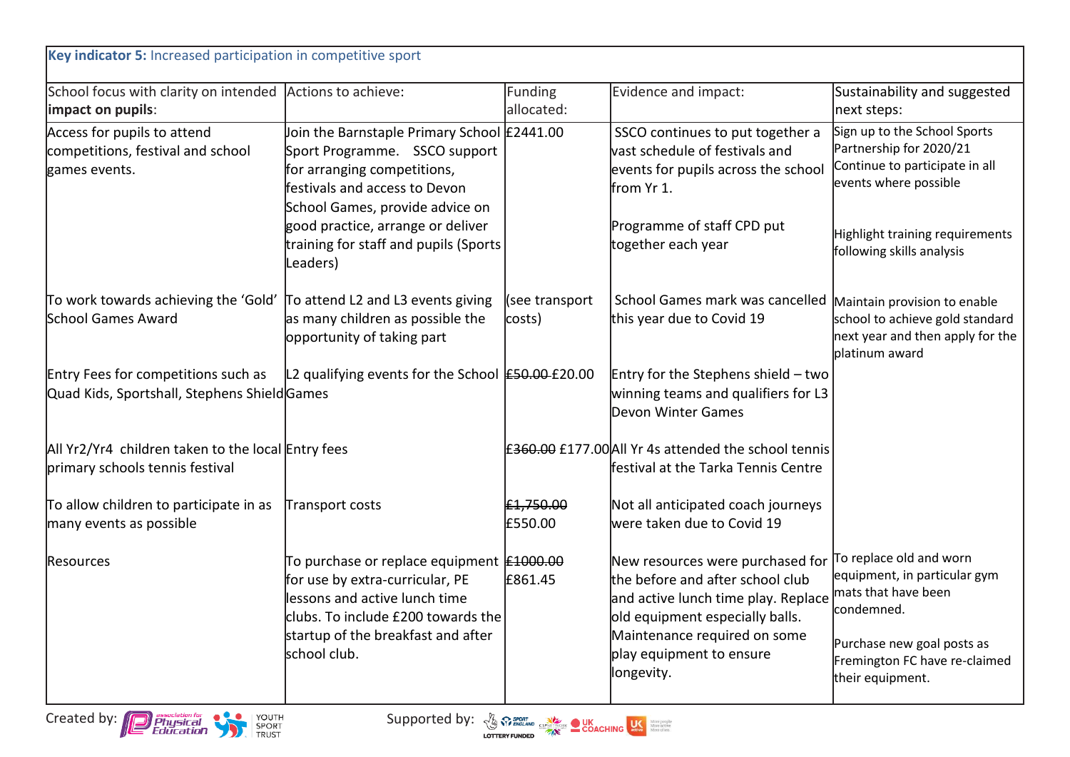| School focus with clarity on intended Actions to achieve:                             |                                                                                                                                                                                                                  | Funding                  | Evidence and impact:                                                                                                                                                                                                     | Sustainability and suggested                                                                                                                                                    |
|---------------------------------------------------------------------------------------|------------------------------------------------------------------------------------------------------------------------------------------------------------------------------------------------------------------|--------------------------|--------------------------------------------------------------------------------------------------------------------------------------------------------------------------------------------------------------------------|---------------------------------------------------------------------------------------------------------------------------------------------------------------------------------|
| impact on pupils:                                                                     |                                                                                                                                                                                                                  | allocated:               |                                                                                                                                                                                                                          | next steps:                                                                                                                                                                     |
| Access for pupils to attend<br>competitions, festival and school<br>games events.     | Join the Barnstaple Primary School £2441.00<br>Sport Programme. SSCO support<br>for arranging competitions,<br>festivals and access to Devon<br>School Games, provide advice on                                  |                          | SSCO continues to put together a<br>vast schedule of festivals and<br>events for pupils across the school<br>from Yr 1.                                                                                                  | Sign up to the School Sports<br>Partnership for 2020/21<br>Continue to participate in all<br>events where possible                                                              |
|                                                                                       | good practice, arrange or deliver<br>training for staff and pupils (Sports<br>Leaders)                                                                                                                           |                          | Programme of staff CPD put<br>together each year                                                                                                                                                                         | Highlight training requirements<br>following skills analysis                                                                                                                    |
| To work towards achieving the 'Gold'<br>School Games Award                            | To attend L2 and L3 events giving<br>as many children as possible the<br>opportunity of taking part                                                                                                              | (see transport<br>costs) | School Games mark was cancelled<br>this year due to Covid 19                                                                                                                                                             | Maintain provision to enable<br>school to achieve gold standard<br>next year and then apply for the<br>platinum award                                                           |
| Entry Fees for competitions such as<br>Quad Kids, Sportshall, Stephens ShieldGames    | L2 qualifying events for the School <b>£50.00</b> £20.00                                                                                                                                                         |                          | Entry for the Stephens shield - two<br>winning teams and qualifiers for L3<br>Devon Winter Games                                                                                                                         |                                                                                                                                                                                 |
| All Yr2/Yr4 children taken to the local Entry fees<br>primary schools tennis festival |                                                                                                                                                                                                                  |                          | £ <del>360.00</del> £177.00 All Yr 4s attended the school tennis<br>ffestival at the Tarka Tennis Centre                                                                                                                 |                                                                                                                                                                                 |
| To allow children to participate in as<br>many events as possible                     | Transport costs                                                                                                                                                                                                  | £1,750.00<br>£550.00     | Not all anticipated coach journeys<br>were taken due to Covid 19                                                                                                                                                         |                                                                                                                                                                                 |
| Resources                                                                             | To purchase or replace equipment <b>£1000.00</b><br>for use by extra-curricular, PE<br>lessons and active lunch time<br>clubs. To include £200 towards the<br>startup of the breakfast and after<br>school club. | £861.45                  | New resources were purchased for<br>the before and after school club<br>and active lunch time play. Replace<br>old equipment especially balls.<br>Maintenance required on some<br>play equipment to ensure<br>longevity. | To replace old and worn<br>equipment, in particular gym<br>mats that have been<br>condemned.<br>Purchase new goal posts as<br>Fremington FC have re-claimed<br>their equipment. |